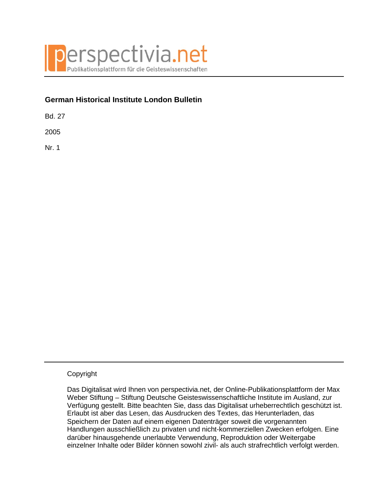

# **German Historical Institute London Bulletin**

Bd. 27

2005

Nr. 1

## Copyright

Das Digitalisat wird Ihnen von perspectivia.net, der Online-Publikationsplattform der Max Weber Stiftung – Stiftung Deutsche Geisteswissenschaftliche Institute im Ausland, zur Verfügung gestellt. Bitte beachten Sie, dass das Digitalisat urheberrechtlich geschützt ist. Erlaubt ist aber das Lesen, das Ausdrucken des Textes, das Herunterladen, das Speichern der Daten auf einem eigenen Datenträger soweit die vorgenannten Handlungen ausschließlich zu privaten und nicht-kommerziellen Zwecken erfolgen. Eine darüber hinausgehende unerlaubte Verwendung, Reproduktion oder Weitergabe einzelner Inhalte oder Bilder können sowohl zivil- als auch strafrechtlich verfolgt werden.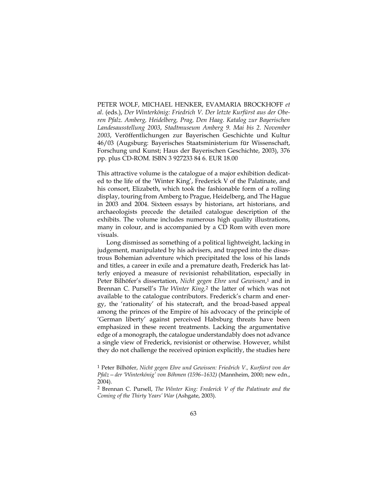PETER WOLF, MICHAEL HENKER, EVAMARIA BROCKHOFF *et al*. (eds.), *Der Winterkönig: Friedrich V. Der letzte Kurfürst aus der Oberen Pfalz. Amberg, Heidelberg, Prag, Den Haag. Katalog zur Bayerischen Landesausstellung 2003*, *Stadtmuseum Amberg 9. Mai bis 2. November 2003*, Veröffentlichungen zur Bayerischen Geschichte und Kultur 46/03 (Augsburg: Bayerisches Staatsministerium für Wissenschaft, Forschung und Kunst; Haus der Bayerischen Geschichte, 2003), 376 pp. plus CD-ROM. ISBN 3 927233 84 6. EUR 18.00

This attractive volume is the catalogue of a major exhibition dedicated to the life of the 'Winter King', Frederick V of the Palatinate, and his consort, Elizabeth, which took the fashionable form of a rolling display, touring from Amberg to Prague, Heidelberg, and The Hague in 2003 and 2004. Sixteen essays by historians, art historians, and archaeologists precede the detailed catalogue description of the exhibits. The volume includes numerous high quality illustrations, many in colour, and is accompanied by a CD Rom with even more visuals.

Long dismissed as something of a political lightweight, lacking in judgement, manipulated by his advisers, and trapped into the disastrous Bohemian adventure which precipitated the loss of his lands and titles, a career in exile and a premature death, Frederick has latterly enjoyed a measure of revisionist rehabilitation, especially in Peter Bilhöfer's dissertation, *Nicht gegen Ehre und Gewissen*,1 and in Brennan C. Pursell's *The Winter King,*<sup>2</sup> the latter of which was not available to the catalogue contributors. Frederick's charm and energy, the 'rationality' of his statecraft, and the broad-based appeal among the princes of the Empire of his advocacy of the principle of 'German liberty' against perceived Habsburg threats have been emphasized in these recent treatments. Lacking the argumentative edge of a monograph, the catalogue understandably does not advance a single view of Frederick, revisionist or otherwise. However, whilst they do not challenge the received opinion explicitly, the studies here

<sup>1</sup> Peter Bilhöfer, *Nicht gegen Ehre und Gewissen: Friedrich V., Kurfürst von der Pfalz—der 'Winterkönig' von Böhmen (1596–1632)* (Mannheim, 2000; new edn., 2004).

<sup>2</sup> Brennan C. Pursell, *The Winter King: Frederick V of the Palatinate and the Coming of the Thirty Years' War* (Ashgate, 2003).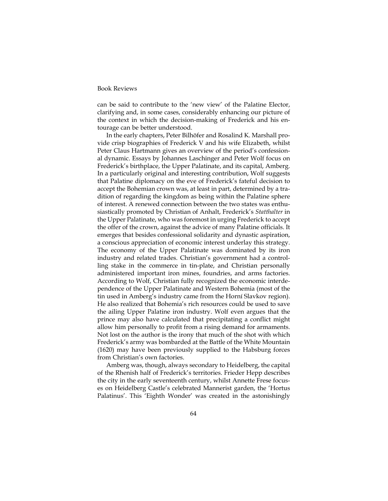### Book Reviews

can be said to contribute to the 'new view' of the Palatine Elector, clarifying and, in some cases, considerably enhancing our picture of the context in which the decision-making of Frederick and his entourage can be better understood.

In the early chapters, Peter Bilhöfer and Rosalind K. Marshall provide crisp biographies of Frederick V and his wife Elizabeth, whilst Peter Claus Hartmann gives an overview of the period's confessional dynamic. Essays by Johannes Laschinger and Peter Wolf focus on Frederick's birthplace, the Upper Palatinate, and its capital, Amberg. In a particularly original and interesting contribution, Wolf suggests that Palatine diplomacy on the eve of Frederick's fateful decision to accept the Bohemian crown was, at least in part, determined by a tradition of regarding the kingdom as being within the Palatine sphere of interest. A renewed connection between the two states was enthusiastically promoted by Christian of Anhalt, Frederick's *Statthalter* in the Upper Palatinate, who was foremost in urging Frederick to accept the offer of the crown, against the advice of many Palatine officials. It emerges that besides confessional solidarity and dynastic aspiration, a conscious appreciation of economic interest underlay this strategy. The economy of the Upper Palatinate was dominated by its iron industry and related trades. Christian's government had a controlling stake in the commerce in tin-plate, and Christian personally administered important iron mines, foundries, and arms factories. According to Wolf, Christian fully recognized the economic interdependence of the Upper Palatinate and Western Bohemia (most of the tin used in Amberg's industry came from the Horní Slavkov region). He also realized that Bohemia's rich resources could be used to save the ailing Upper Palatine iron industry. Wolf even argues that the prince may also have calculated that precipitating a conflict might allow him personally to profit from a rising demand for armaments. Not lost on the author is the irony that much of the shot with which Frederick's army was bombarded at the Battle of the White Mountain (1620) may have been previously supplied to the Habsburg forces from Christian's own factories.

Amberg was, though, always secondary to Heidelberg, the capital of the Rhenish half of Frederick's territories. Frieder Hepp describes the city in the early seventeenth century, whilst Annette Frese focuses on Heidelberg Castle's celebrated Mannerist garden, the 'Hortus Palatinus'. This 'Eighth Wonder' was created in the astonishingly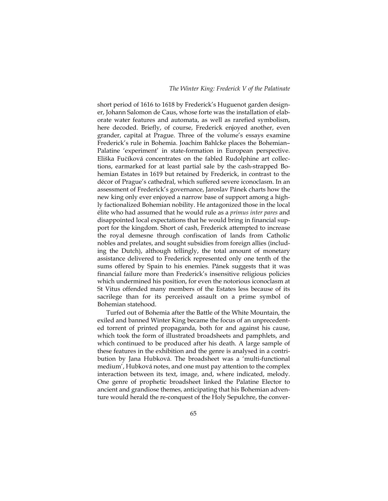#### *The Winter King: Frederick V of the Palatinate*

short period of 1616 to 1618 by Frederick's Huguenot garden designer, Johann Salomon de Caus, whose forte was the installation of elaborate water features and automata, as well as rarefied symbolism, here decoded. Briefly, of course, Frederick enjoyed another, even grander, capital at Prague. Three of the volume's essays examine Frederick's rule in Bohemia. Joachim Bahlcke places the Bohemian– Palatine 'experiment' in state-formation in European perspective. Eliška Fučíková concentrates on the fabled Rudolphine art collections, earmarked for at least partial sale by the cash-strapped Bohemian Estates in 1619 but retained by Frederick, in contrast to the décor of Prague's cathedral, which suffered severe iconoclasm. In an assessment of Frederick's governance, Jaroslav Pánek charts how the new king only ever enjoyed a narrow base of support among a highly factionalized Bohemian nobility. He antagonized those in the local élite who had assumed that he would rule as a *primus inter pares* and disappointed local expectations that he would bring in financial support for the kingdom. Short of cash, Frederick attempted to increase the royal demesne through confiscation of lands from Catholic nobles and prelates, and sought subsidies from foreign allies (including the Dutch), although tellingly, the total amount of monetary assistance delivered to Frederick represented only one tenth of the sums offered by Spain to his enemies. Pánek suggests that it was financial failure more than Frederick's insensitive religious policies which undermined his position, for even the notorious iconoclasm at St Vitus offended many members of the Estates less because of its sacrilege than for its perceived assault on a prime symbol of Bohemian statehood.

Turfed out of Bohemia after the Battle of the White Mountain, the exiled and banned Winter King became the focus of an unprecedented torrent of printed propaganda, both for and against his cause, which took the form of illustrated broadsheets and pamphlets, and which continued to be produced after his death. A large sample of these features in the exhibition and the genre is analysed in a contribution by Jana Hubková. The broadsheet was a 'multi-functional medium', Hubková notes, and one must pay attention to the complex interaction between its text, image, and, where indicated, melody. One genre of prophetic broadsheet linked the Palatine Elector to ancient and grandiose themes, anticipating that his Bohemian adventure would herald the re-conquest of the Holy Sepulchre, the conver-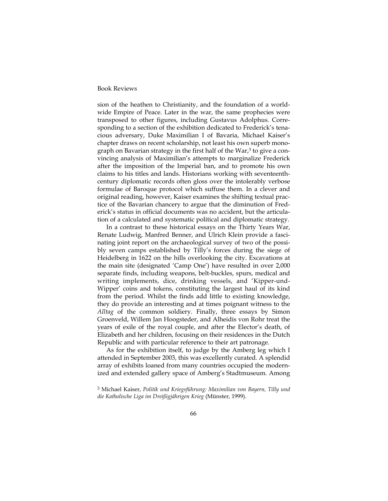### Book Reviews

sion of the heathen to Christianity, and the foundation of a worldwide Empire of Peace. Later in the war, the same prophecies were transposed to other figures, including Gustavus Adolphus. Corresponding to a section of the exhibition dedicated to Frederick's tenacious adversary, Duke Maximilian I of Bavaria, Michael Kaiser's chapter draws on recent scholarship, not least his own superb monograph on Bavarian strategy in the first half of the War,<sup>3</sup> to give a convincing analysis of Maximilian's attempts to marginalize Frederick after the imposition of the Imperial ban, and to promote his own claims to his titles and lands. Historians working with seventeenthcentury diplomatic records often gloss over the intolerably verbose formulae of Baroque protocol which suffuse them. In a clever and original reading, however, Kaiser examines the shifting textual practice of the Bavarian chancery to argue that the diminution of Frederick's status in official documents was no accident, but the articulation of a calculated and systematic political and diplomatic strategy.

In a contrast to these historical essays on the Thirty Years War, Renate Ludwig, Manfred Benner, and Ulrich Klein provide a fascinating joint report on the archaeological survey of two of the possibly seven camps established by Tilly's forces during the siege of Heidelberg in 1622 on the hills overlooking the city. Excavations at the main site (designated 'Camp One') have resulted in over 2,000 separate finds, including weapons, belt-buckles, spurs, medical and writing implements, dice, drinking vessels, and 'Kipper-und-Wipper' coins and tokens, constituting the largest haul of its kind from the period. Whilst the finds add little to existing knowledge, they do provide an interesting and at times poignant witness to the *Alltag* of the common soldiery. Finally, three essays by Simon Groenveld, Willem Jan Hoogsteder, and Alheidis von Rohr treat the years of exile of the royal couple, and after the Elector's death, of Elizabeth and her children, focusing on their residences in the Dutch Republic and with particular reference to their art patronage.

As for the exhibition itself, to judge by the Amberg leg which I attended in September 2003, this was excellently curated. A splendid array of exhibits loaned from many countries occupied the modernized and extended gallery space of Amberg's Stadtmuseum. Among

<sup>3</sup> Michael Kaiser, *Politik und Kriegsführung: Maximilian von Bayern, Tilly und die Katholische Liga im Dreißigjährigen Krieg* (Münster, 1999).